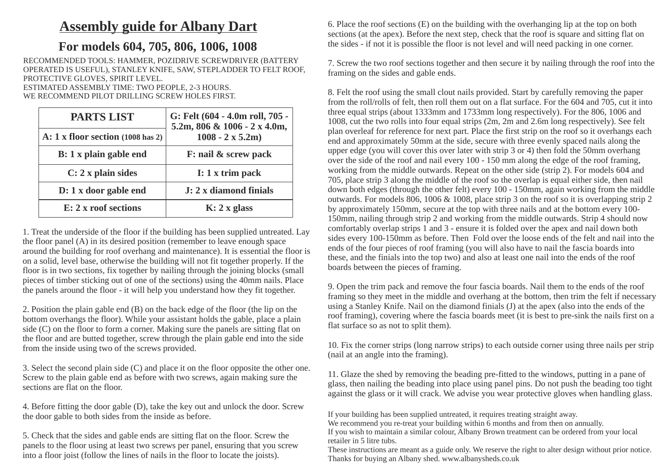## **Assembly guide for Albany Dart**

## **For models 604, 705, 806, 1006, 1008**

RECOMMENDED TOOLS: HAMMER, POZIDRIVE SCREWDRIVER (BATTERY OPERATED IS USEFUL), STANLEY KNIFE, SAW, STEPLADDER TO FELT ROOF, PROTECTIVE GLOVES, SPIRIT LEVEL.

ESTIMATED ASSEMBLY TIME: TWO PEOPLE, 2-3 HOURS. WE RECOMMEND PILOT DRILLING SCREW HOLES FIRST.

| <b>PARTS LIST</b>                        | G: Felt (604 - 4.0m roll, 705 -<br>5.2m, 806 & 1006 - 2 x 4.0m,<br>$1008 - 2 \times 5.2m$ |
|------------------------------------------|-------------------------------------------------------------------------------------------|
| A: $1 \times$ floor section (1008 has 2) |                                                                                           |
| B: 1 x plain gable end                   | F: nail & screw pack                                                                      |
| $C: 2x$ plain sides                      | $I: 1 x$ trim pack                                                                        |
| D: 1 x door gable end                    | J: 2 x diamond finials                                                                    |
| E: 2 x roof sections                     | $K: 2 x$ glass                                                                            |

1. Treat the underside of the floor if the building has been supplied untreated. Lay the floor panel (A) in its desired position (remember to leave enough space around the building for roof overhang and maintenance). It is essential the floor is on a solid, level base, otherwise the building will not fit together properly. If the floor is in two sections, fix together by nailing through the joining blocks (small pieces of timber sticking out of one of the sections) using the 40mm nails. Place the panels around the floor - it will help you understand how they fit together.

2. Position the plain gable end (B) on the back edge of the floor (the lip on the bottom overhangs the floor). While your assistant holds the gable, place a plain side (C) on the floor to form a corner. Making sure the panels are sitting flat on the floor and are butted together, screw through the plain gable end into the side from the inside using two of the screws provided.

3. Select the second plain side (C) and place it on the floor opposite the other one. Screw to the plain gable end as before with two screws, again making sure the sections are flat on the floor.

4. Before fitting the door gable (D), take the key out and unlock the door. Screw the door gable to both sides from the inside as before.

5. Check that the sides and gable ends are sitting flat on the floor. Screw the panels to the floor using at least two screws per panel, ensuring that you screw into a floor joist (follow the lines of nails in the floor to locate the joists).

6. Place the roof sections (E) on the building with the overhanging lip at the top on both sections (at the apex). Before the next step, check that the roof is square and sitting flat on the sides - if not it is possible the floor is not level and will need packing in one corner.

7. Screw the two roof sections together and then secure it by nailing through the roof into the framing on the sides and gable ends.

150mm, nailing through strip 2 and working from the middle outwards. Strip 4 should now comfortably overlap strips 1 and 3 - ensure it is folded over the apex and nail down both sides every 100-150mm as before. Then Fold over the loose ends of the felt and nail into the ends of the four pieces of roof framing (you will also have to nail the fascia boards into these, and the finials into the top two) and also at least one nail into the ends of the roof boards between the pieces of framing. 8. Felt the roof using the small clout nails provided. Start by carefully removing the paper from the roll/rolls of felt, then roll them out on a flat surface. For the 604 and 705, cut it into three equal strips (about 1333mm and 1733mm long respectively). For the 806, 1006 and 1008, cut the two rolls into four equal strips (2m, 2m and 2.6m long respectively). See felt plan overleaf for reference for next part. Place the first strip on the roof so it overhangs each end and approximately 50mm at the side, secure with three evenly spaced nails along the upper edge (you will cover this over later with strip 3 or 4) then fold the 50mm overhang over the side of the roof and nail every 100 - 150 mm along the edge of the roof framing, working from the middle outwards. Repeat on the other side (strip 2). For models 604 and 705, place strip 3 along the middle of the roof so the overlap is equal either side, then nail down both edges (through the other felt) every 100 - 150mm, again working from the middle outwards. For models 806, 1006 & 1008, place strip 3 on the roof so it is overlapping strip 2 by approximately 150mm, secure at the top with three nails and at the bottom every 100-

9. Open the trim pack and remove the four fascia boards. Nail them to the ends of the roof framing so they meet in the middle and overhang at the bottom, then trim the felt if necessary using a Stanley Knife. Nail on the diamond finials (J) at the apex (also into the ends of the roof framing), covering where the fascia boards meet (it is best to pre-sink the nails first on a flat surface so as not to split them).

10. Fix the corner strips (long narrow strips) to each outside corner using three nails per strip (nail at an angle into the framing).

11. Glaze the shed by removing the beading pre-fitted to the windows, putting in a pane of glass, then nailing the beading into place using panel pins. Do not push the beading too tight against the glass or it will crack. We advise you wear protective gloves when handling glass.

If your building has been supplied untreated, it requires treating straight away.

We recommend you re-treat your building within 6 months and from then on annually. If you wish to maintain a similar colour, Albany Brown treatment can be ordered from your local retailer in 5 litre tubs.

These instructions are meant as a guide only. We reserve the right to alter design without prior notice. Thanks for buying an Albany shed. www.albanysheds.co.uk